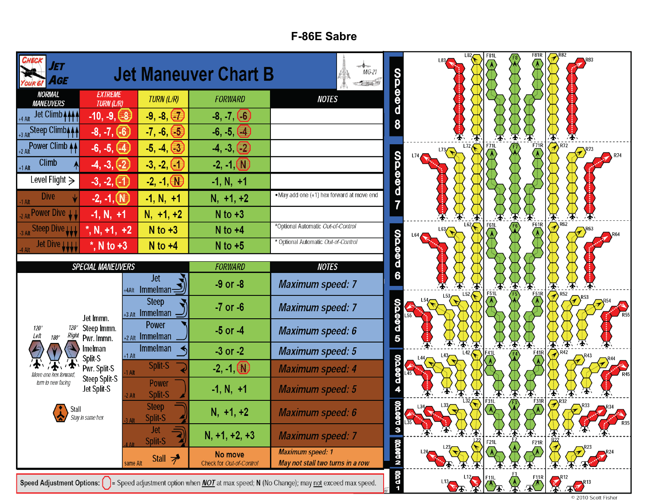## **F-86E Sabre**

| ET<br>AGE                                           |                                        |                                              | <b>Jet Maneuver Chart B</b>         | $MiG-21$<br>$-1.348$                                                                                                                                                  | <b>QGOO</b>      | L82             | <b>F81L</b> | <b>F81R</b><br>F8<br>V                       |                                             |
|-----------------------------------------------------|----------------------------------------|----------------------------------------------|-------------------------------------|-----------------------------------------------------------------------------------------------------------------------------------------------------------------------|------------------|-----------------|-------------|----------------------------------------------|---------------------------------------------|
| <b>NORMAL</b><br><b>MANEUVERS</b>                   | <b>EXTREME</b><br><b>TURN (L/R)</b>    | TURN (L/R)                                   | <b>FORWARD</b>                      | <b>NOTES</b>                                                                                                                                                          |                  |                 |             |                                              |                                             |
| Jet Climb + + + +<br>+4 Alt                         | $-10, -9, (-8)$                        | $-9, -8, (-7)$                               | $-8, -7, (6)$                       |                                                                                                                                                                       |                  |                 |             |                                              |                                             |
| +3 Alt Steep Climb <sub>444</sub>                   | $-8, -7, (-6)$                         | $-7, -6, (-5)$                               | $-6, -5, (4)$                       |                                                                                                                                                                       |                  |                 |             |                                              |                                             |
| +2 Alt Power Climb 44                               | $-6, -5, (-4)$                         | $-5, -4, (-3)$                               | $-4, -3, (2)$                       |                                                                                                                                                                       |                  | L72<br>$L^{73}$ | F71L        | $F_{\frac{7}{16}}$<br>$\left(\lambda\right)$ | $\overline{\bigotimes}$ R72<br>R74          |
| <b>Climb</b><br>$+1$ Alt                            | $-4, -3, (-2)$                         | $-3, -2, (-1)$                               | $-2, -1$ (N)                        |                                                                                                                                                                       | <b>QQQQQ</b>     |                 |             |                                              |                                             |
| Level Flight $\geq$                                 | $-3, -2, (1)$                          | $-2, -1, 0$                                  | $-1, N, +1$                         |                                                                                                                                                                       |                  |                 |             |                                              |                                             |
| <b>Dive</b>                                         | $-2, -1, (N)$                          | $-1, N, +1$                                  | $N, +1, +2$                         | . May add one (+1) hex forward at move end                                                                                                                            |                  |                 |             |                                              |                                             |
| Power Dive LL                                       | $-1, N, +1$                            | $N, +1, +2$                                  | $N$ to $+3$                         |                                                                                                                                                                       |                  |                 |             | $\blacktriangleright$<br>F61R                | 丕<br>$\overline{\bigotimes}$ <sup>R62</sup> |
| Steep Dive LLL                                      | $^*$ , N, +1, +2                       | $N$ to $+3$                                  | $N$ to $+4$                         | *Optional Automatic Out-of-Control                                                                                                                                    |                  | L64.            | F61L        |                                              |                                             |
| Jet Dive LLLL                                       | $^*$ , N to +3                         | $N$ to $+4$                                  | $N$ to $+5$                         | * Optional Automatic Out-of-Control                                                                                                                                   | <b>QQ@QQ</b>     |                 |             |                                              |                                             |
|                                                     | <b>SPECIAL MANEUVERS</b>               |                                              | <b>FORWARD</b>                      | <b>NOTES</b>                                                                                                                                                          |                  |                 |             |                                              |                                             |
|                                                     |                                        | <b>Jet</b><br>Immelman <sub>2</sub><br>+4Alt | $-9$ or $-8$                        | <b>Maximum speed: 7</b>                                                                                                                                               | $\overline{6}$   |                 | <b>F51L</b> | $\mathbf{F}$<br>≁                            | $\overline{\mathbf{r}}$<br>尘<br>$\sum$ R52  |
|                                                     |                                        | <b>Steep</b><br>$+3$ Alt Immelman -          | $-7$ or $-6$                        | <b>Maximum speed: 7</b>                                                                                                                                               |                  | 153<br>154      |             | $\overline{51}$                              |                                             |
| $120^\circ$<br>120°<br>Left<br>Right<br>$180^\circ$ | Jet Immn.<br>Steep Immn.<br>Pwr. Immn. | Power<br>$+2$ Alt Immelman                   | $-5$ or $-4$                        | <b>Maximum speed: 6</b>                                                                                                                                               | <b>OD 000 DO</b> |                 |             |                                              |                                             |
|                                                     | lmelman<br>Split-S                     | <b>Immelman</b><br>$+1$ Alt                  | $-3$ or $-2$                        | <b>Maximum speed: 5</b>                                                                                                                                               |                  |                 | Ŧ           | 分<br>$\left(\frac{41R}{\Delta}\right)$       | 承<br>不<br>$\sum$ <sup>R42</sup>             |
|                                                     | Pwr. Split-S<br><b>Steep Split-S</b>   | Split-S<br>1 Alt                             | $-2, -1$ $N$                        | <b>Maximum speed: 4</b>                                                                                                                                               | <b>QQ@QQ</b>     |                 |             |                                              |                                             |
| turn to new facing                                  | Jet Split-S                            | Power<br>Split-S<br>2 Alt                    | $-1, N, +1$                         | <b>Maximum speed: 5</b>                                                                                                                                               |                  |                 | F31L        | $F_2$ <sub>1R</sub>                          |                                             |
| Stall<br>$\sim$                                     | Stay in same hex                       | <b>Steep</b><br>Split-S                      | $N, +1, +2$                         | <b>Maximum speed: 6</b>                                                                                                                                               | 000              |                 |             |                                              | $\left(2\right)^{R32}$<br>$\sqrt{2}^{R33}$  |
|                                                     |                                        | Jet<br>Split-S                               | $N, +1, +2, +3$                     | <b>Maximum speed: 7</b>                                                                                                                                               | $\frac{d}{3}$    |                 | F21L        | F21R                                         |                                             |
|                                                     |                                        | Stall $\overline{\rightarrow}$<br>same Alt   | No move<br>Check for Out-of-Control | <b>Maximum speed: 1</b><br>May not stall two turns in a row                                                                                                           | <b>NO DODO N</b> |                 |             |                                              |                                             |
|                                                     |                                        |                                              |                                     | <b>Speed Adjustment Options:</b> $\begin{bmatrix} \ \ \end{bmatrix}$ = Speed adjustment option when <i>NOT</i> at max speed; N (No Change); may not exceed max speed. | $-200$           |                 |             |                                              | 113 12 12 12 12 12 13 14 15 17 1813         |

© 2010 Scott Fisher